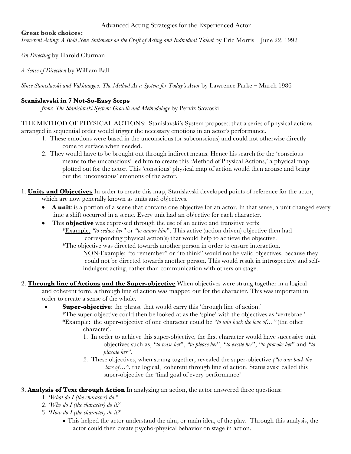Advanced Acting Strategies for the Experienced Actor

### **Great book choices:**

*Irreverent Acting: A Bold New Statement on the Craft of Acting and Individual Talent* by Eric Morris – June 22, 1992

*On Directing* by Harold Clurman

*A Sense of Direction* by William Ball

*Since Stanislavski and Vakhtangov: The Method As a System for Today's Actor* by Lawrence Parke – March 1986

# **Stanislavski in 7 Not-So-Easy Steps**

*from*: *The Stanislavski System: Growth and Methodology* by Perviz Sawoski

THE METHOD OF PHYSICAL ACTIONS: Stanislavski's System proposed that a series of physical actions arranged in sequential order would trigger the necessary emotions in an actor's performance.

- 1. These emotions were based in the unconscious (or subconscious) and could not otherwise directly come to surface when needed.
- 2. They would have to be brought out through indirect means. Hence his search for the 'conscious means to the unconscious' led him to create this 'Method of Physical Actions,' a physical map plotted out for the actor. This 'conscious' physical map of action would then arouse and bring out the 'unconscious' emotions of the actor.
- 1. **Units and Objectives** In order to create this map, Stanislavski developed points of reference for the actor, which are now generally known as units and objectives.
	- **A unit**: is a portion of a scene that contains one objective for an actor. In that sense, a unit changed every time a shift occurred in a scene. Every unit had an objective for each character.
	- This **objective** was expressed through the use of an <u>active</u> and transitive verb; \*Example: *"to seduce her"* or *"to annoy him*". This active (action driven) objective then had corresponding physical action(s) that would help to achieve the objective.

\*The objective was directed towards another person in order to ensure interaction.

NON-Example: "to remember" or "to think" would not be valid objectives, because they could not be directed towards another person. This would result in introspective and selfindulgent acting, rather than communication with others on stage.

- 2. **Through line of Actions and the Super-objective** When objectives were strung together in a logical and coherent form, a through line of action was mapped out for the character. This was important in order to create a sense of the whole.
	- **Super-objective**: the phrase that would carry this 'through line of action.' \*The super-objective could then be looked at as the 'spine' with the objectives as 'vertebrae.'
		- \*Example: the super-objective of one character could be *"to win back the love of…"* (the other character).
			- 1. In order to achieve this super-objective, the first character would have successive unit objectives such as, *"to tease her*", *"to please her*", *"to excite her*", *"to provoke her*" and *"to placate her"*.
			- *2*. These objectives, when strung together, revealed the super-objective *("to win back the love of...*", the logical, coherent through line of action. Stanislavski called this super-objective the 'final goal of every performance'
- 3. **Analysis of Text through Action** In analyzing an action, the actor answered three questions:
	- 1. *'What do I (the character) do?'*
	- 2. *'Why do I (the character) do it?'*
	- 3. *'How do I (the character) do it?'*
		- This helped the actor understand the aim, or main idea, of the play. Through this analysis, the actor could then create psycho-physical behavior on stage in action.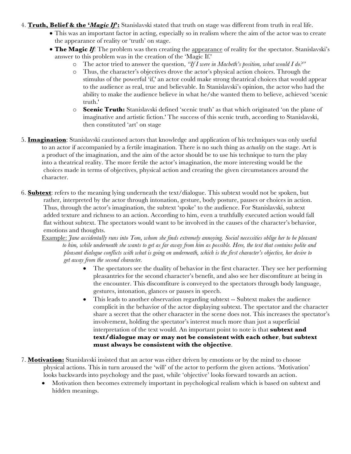- 4. **Truth, Belief & the '***Magic If***':** Stanislavski stated that truth on stage was different from truth in real life.
	- This was an important factor in acting, especially so in realism where the aim of the actor was to create the appearance of reality or 'truth' on stage.
	- **The Magic** *If*: The problem was then creating the appearance of reality for the spectator. Stanislavski's answer to this problem was in the creation of the 'Magic If.'
		- o The actor tried to answer the question, *"If I were in Macbeth's position, what would I do?"*
		- o Thus, the character's objectives drove the actor's physical action choices. Through the stimulus of the powerful 'if,' an actor could make strong theatrical choices that would appear to the audience as real, true and believable. In Stanislavski's opinion, the actor who had the ability to make the audience believe in what he/she wanted them to believe, achieved 'scenic truth.'
		- o **Scenic Truth:** Stanislavski defined 'scenic truth' as that which originated 'on the plane of imaginative and artistic fiction.' The success of this scenic truth, according to Stanislavski, then constituted 'art' on stage
- 5. **Imagination**: Stanislavski cautioned actors that knowledge and application of his techniques was only useful to an actor if accompanied by a fertile imagination. There is no such thing as *actuality* on the stage. Art is a product of the imagination, and the aim of the actor should be to use his technique to turn the play into a theatrical reality. The more fertile the actor's imagination, the more interesting would be the choices made in terms of objectives, physical action and creating the given circumstances around the character.
- 6. **Subtext**: refers to the meaning lying underneath the text/dialogue. This subtext would not be spoken, but rather, interpreted by the actor through intonation, gesture, body posture, pauses or choices in action. Thus, through the actor's imagination, the subtext 'spoke' to the audience. For Stanislavski, subtext added texture and richness to an action. According to him, even a truthfully executed action would fall flat without subtext. The spectators would want to be involved in the causes of the character's behavior, emotions and thoughts.
	- Example: *Jane accidentally runs into Tom, whom she finds extremely annoying. Social necessities oblige her to be pleasant to him, while underneath she wants to get as far away from him as possible. Here, the text that contains polite and pleasant dialogue conflicts with what is going on underneath, which is the first character's objective, her desire to get away from the second character.*
		- The spectators see the duality of behavior in the first character. They see her performing pleasantries for the second character's benefit, and also see her discomfiture at being in the encounter. This discomfiture is conveyed to the spectators through body language, gestures, intonation, glances or pauses in speech.
		- This leads to another observation regarding subtext -- Subtext makes the audience complicit in the behavior of the actor displaying subtext. The spectator and the character share a secret that the other character in the scene does not. This increases the spectator's involvement, holding the spectator's interest much more than just a superficial interpretation of the text would. An important point to note is that **subtext and text/dialogue may or may not be consistent with each other**, **but subtext must always be consistent with the objective**.
- 7. **Motivation:** Stanislavski insisted that an actor was either driven by emotions or by the mind to choose physical actions. This in turn aroused the 'will' of the actor to perform the given actions. 'Motivation' looks backwards into psychology and the past, while 'objective' looks forward towards an action.
	- Motivation then becomes extremely important in psychological realism which is based on subtext and hidden meanings.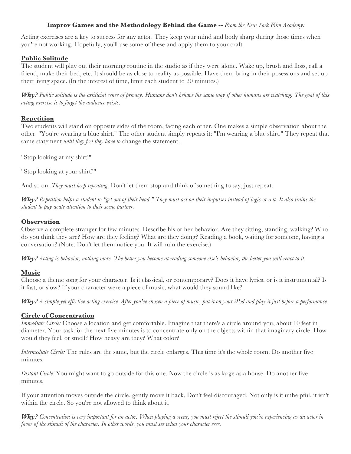# **Improv Games and the Methodology Behind the Game --** *From the New York Film Academy:*

Acting exercises are a key to success for any actor. They keep your mind and body sharp during those times when you're not working. Hopefully, you'll use some of these and apply them to your craft.

### **Public Solitude**

The student will play out their morning routine in the studio as if they were alone. Wake up, brush and floss, call a friend, make their bed, etc. It should be as close to reality as possible. Have them bring in their posessions and set up their living space. (In the interest of time, limit each student to 20 minutes.)

*Why? Public solitude is the artificial sense of privacy. Humans don't behave the same way if other humans are watching. The goal of this acting exercise is to forget the audience exists*.

#### **Repetition**

Two students will stand on opposite sides of the room, facing each other. One makes a simple observation about the other: "You're wearing a blue shirt." The other student simply repeats it: "I'm wearing a blue shirt." They repeat that same statement *until they feel they have to* change the statement.

"Stop looking at my shirt!"

"Stop looking at your shirt?"

And so on. *They must keep repeating.* Don't let them stop and think of something to say, just repeat.

*Why? Repetition helps a student to "get out of their head." They must act on their impulses instead of logic or wit. It also trains the student to pay acute attention to their scene partner.*

#### **Observation**

Observe a complete stranger for few minutes. Describe his or her behavior. Are they sitting, standing, walking? Who do you think they are? How are they feeling? What are they doing? Reading a book, waiting for someone, having a conversation? (Note: Don't let them notice you. It will ruin the exercise.)

*Why? Acting is behavior, nothing more. The better you become at reading someone else's behavior, the better you will react to it* 

### **Music**

Choose a theme song for your character. Is it classical, or contemporary? Does it have lyrics, or is it instrumental? Is it fast, or slow? If your character were a piece of music, what would they sound like?

*Why? A simple yet effective acting exercise. After you've chosen a piece of music, put it on your iPod and play it just before a performance.*

#### **Circle of Concentration**

*Immediate Circle:* Choose a location and get comfortable. Imagine that there's a circle around you, about 10 feet in diameter. Your task for the next five minutes is to concentrate only on the objects within that imaginary circle. How would they feel, or smell? How heavy are they? What color?

*Intermediate Circle:* The rules are the same, but the circle enlarges. This time it's the whole room. Do another five minutes.

*Distant Circle:* You might want to go outside for this one. Now the circle is as large as a house. Do another five minutes.

If your attention moves outside the circle, gently move it back. Don't feel discouraged. Not only is it unhelpful, it isn't within the circle. So you're not allowed to think about it.

*Why? Concentration is very important for an actor. When playing a scene, you must reject the stimuli you're experiencing as an actor in favor of the stimuli of the character. In other words, you must see what your character sees.*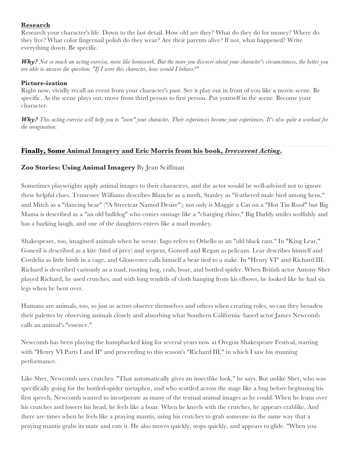# **Research**

Research your character's life. Down to the last detail. How old are they? What do they do for money? Where do they live? What color fingernail polish do they wear? Are their parents alive? If not, what happened? Write everything down. Be specific.

*Why? Not so much an acting exercise, more like homework. But the more you discover about your character's circumstances, the better you are able to answer the question: "If I were this character, how would I behave?"*

### **Picture-ization**

Right now, vividly recall an event from your character's past. See it play out in front of you like a movie scene. Be specific. As the scene plays out, move from third person to first person. Put yourself in the scene. Become your character.

*Why? This acting exercise will help you to "own" your character. Their experiences become your experiences. It's also quite a workout for the imagination.*

# **Finally, Some Animal Imagery and Eric Morris from his book,** *Irreverent Acting***.**

### **Zoo Stories: Using Animal Imagery** By Jean Sciffman

Sometimes playwrights apply animal images to their characters, and the actor would be well-advised not to ignore these helpful clues. Tennessee Williams describes Blanche as a moth, Stanley as "feathered male bird among hens," and Mitch as a "dancing bear" ("A Streetcar Named Desire"); not only is Maggie a Cat on a "Hot Tin Roof" but Big Mama is described as a "an old bulldog" who comes onstage like a "charging rhino," Big Daddy smiles wolfishly and has a barking laugh, and one of the daughters enters like a mad monkey.

Shakespeare, too, imagined animals when he wrote. Iago refers to Othello as an "old black ram." In "King Lear," Goneril is described as a kite (bird of prey) and serpent, Goneril and Regan as pelicans. Lear describes himself and Cordelia as little birds in a cage, and Gloucester calls himself a bear tied to a stake. In "Henry VI" and Richard III, Richard is described variously as a toad, rooting hog, crab, boar, and bottled spider. When British actor Antony Sher played Richard, he used crutches, and with long tendrils of cloth hanging from his elbows, he looked like he had six legs when he bent over.

Humans are animals, too, so just as actors observe themselves and others when creating roles, so can they broaden their palettes by observing animals closely and absorbing what Southern California–based actor James Newcomb calls an animal's "essence."

Newcomb has been playing the humpbacked king for several years now at Oregon Shakespeare Festival, starting with "Henry VI Parts I and II" and proceeding to this season's "Richard III," in which I saw his stunning performance.

Like Sher, Newcomb uses crutches. "That automatically gives an insectlike look," he says. But unlike Sher, who was specifically going for the bottled-spider metaphor, and who scuttled across the stage like a bug before beginning his first speech, Newcomb wanted to incorporate as many of the textual animal images as he could. When he leans over his crutches and lowers his head, he feels like a boar. When he kneels with the crutches, he appears crablike. And there are times when he feels like a praying mantis, using his crutches to grab someone in the same way that a praying mantis grabs its mate and eats it. He also moves quickly, stops quickly, and appears to glide. "When you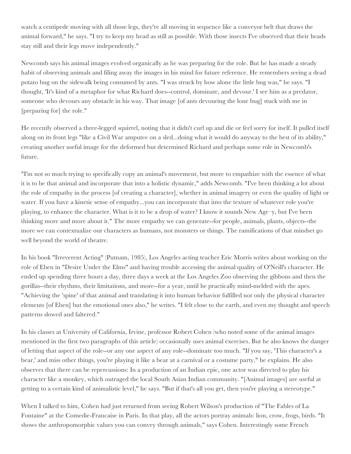watch a centipede moving with all those legs, they're all moving in sequence like a conveyor belt that draws the animal forward," he says. "I try to keep my head as still as possible. With those insects I've observed that their heads stay still and their legs move independently."

Newcomb says his animal images evolved organically as he was preparing for the role. But he has made a steady habit of observing animals and filing away the images in his mind for future reference. He remembers seeing a dead potato bug on the sidewalk being consumed by ants. "I was struck by how alone the little bug was," he says. "I thought, 'It's kind of a metaphor for what Richard does--control, dominate, and devour.' I see him as a predator, someone who devours any obstacle in his way. That image [of ants devouring the lone bug] stuck with me in [preparing for] the role."

He recently observed a three-legged squirrel, noting that it didn't curl up and die or feel sorry for itself. It pulled itself along on its front legs "like a Civil War amputee on a sled...doing what it would do anyway to the best of its ability," creating another useful image for the deformed but determined Richard and perhaps some role in Newcomb's future.

"I'm not so much trying to specifically copy an animal's movement, but more to empathize with the essence of what it is to be that animal and incorporate that into a holistic dynamic," adds Newcomb. "I've been thinking a lot about the role of empathy in the process [of creating a character], whether in animal imagery or even the quality of light or water. If you have a kinetic sense of empathy...you can incorporate that into the texture of whatever role you're playing, to enhance the character. What is it to be a drop of water? I know it sounds New Age–y, but I've been thinking more and more about it." The more empathy we can generate--for people, animals, plants, objects--the more we can contextualize our characters as humans, not monsters or things. The ramifications of that mindset go well beyond the world of theatre.

In his book "Irreverent Acting" (Putnam, 1985), Los Angeles acting teacher Eric Morris writes about working on the role of Eben in "Desire Under the Elms" and having trouble accessing the animal quality of O'Neill's character. He ended up spending three hours a day, three days a week at the Los Angeles Zoo observing the gibbons and then the gorillas--their rhythms, their limitations, and more--for a year, until he practically mind-melded with the apes. "Achieving the 'spine' of that animal and translating it into human behavior fulfilled not only the physical character elements [of Eben] but the emotional ones also," he writes. "I felt close to the earth, and even my thought and speech patterns slowed and faltered."

In his classes at University of California, Irvine, professor Robert Cohen (who noted some of the animal images mentioned in the first two paragraphs of this article) occasionally uses animal exercises. But he also knows the danger of letting that aspect of the role--or any one aspect of any role--dominate too much. "If you say, 'This character's a bear,' and miss other things, you're playing it like a bear at a carnival or a costume party," he explains. He also observes that there can be repercussions: In a production of an Indian epic, one actor was directed to play his character like a monkey, which outraged the local South Asian Indian community. "[Animal images] are useful at getting to a certain kind of animalistic level," he says. "But if that's all you get, then you're playing a stereotype."

When I talked to him, Cohen had just returned from seeing Robert Wilson's production of "The Fables of La Fontaine" at the Comedie-Francaise in Paris. In that play, all the actors portray animals: lion, crow, frogs, birds. "It shows the anthropomorphic values you can convey through animals," says Cohen. Interestingly some French